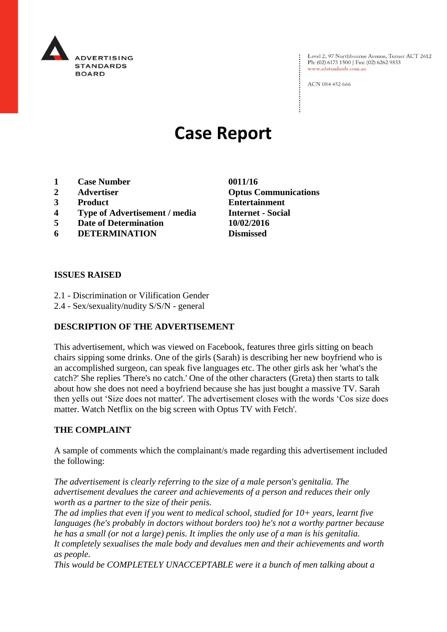

Level 2, 97 Northbourne Avenue, Turner ACT 2612 Ph: (02) 6173 1500 | Fax: (02) 6262 9833 www.adstandards.com.au

ACN 084 452 666

# **Case Report**

- **1 Case Number 0011/16**
- 
- 
- **4 Type of Advertisement / media Internet - Social**
- **5 Date of Determination 10/02/2016**
- **6 DETERMINATION Dismissed**

**2 Advertiser Optus Communications 3 Product Entertainment**

#### **ISSUES RAISED**

- 2.1 Discrimination or Vilification Gender
- 2.4 Sex/sexuality/nudity S/S/N general

### **DESCRIPTION OF THE ADVERTISEMENT**

This advertisement, which was viewed on Facebook, features three girls sitting on beach chairs sipping some drinks. One of the girls (Sarah) is describing her new boyfriend who is an accomplished surgeon, can speak five languages etc. The other girls ask her 'what's the catch?' She replies 'There's no catch.' One of the other characters (Greta) then starts to talk about how she does not need a boyfriend because she has just bought a massive TV. Sarah then yells out 'Size does not matter'. The advertisement closes with the words 'Cos size does matter. Watch Netflix on the big screen with Optus TV with Fetch'.

### **THE COMPLAINT**

A sample of comments which the complainant/s made regarding this advertisement included the following:

*The advertisement is clearly referring to the size of a male person's genitalia. The advertisement devalues the career and achievements of a person and reduces their only worth as a partner to the size of their penis.*

*The ad implies that even if you went to medical school, studied for 10+ years, learnt five languages (he's probably in doctors without borders too) he's not a worthy partner because he has a small (or not a large) penis. It implies the only use of a man is his genitalia.*

*It completely sexualises the male body and devalues men and their achievements and worth as people.*

*This would be COMPLETELY UNACCEPTABLE were it a bunch of men talking about a*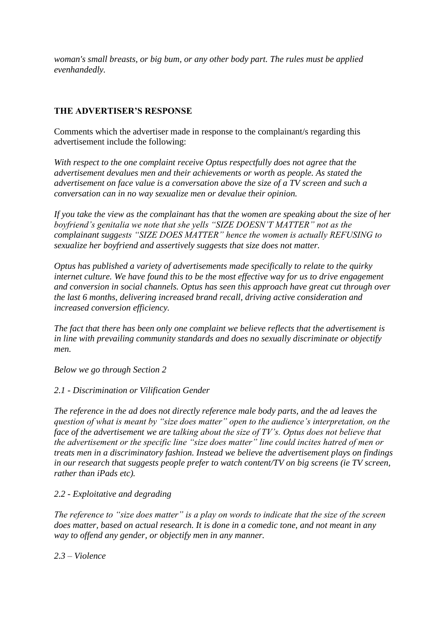*woman's small breasts, or big bum, or any other body part. The rules must be applied evenhandedly.*

## **THE ADVERTISER'S RESPONSE**

Comments which the advertiser made in response to the complainant/s regarding this advertisement include the following:

*With respect to the one complaint receive Optus respectfully does not agree that the advertisement devalues men and their achievements or worth as people. As stated the advertisement on face value is a conversation above the size of a TV screen and such a conversation can in no way sexualize men or devalue their opinion.*

*If you take the view as the complainant has that the women are speaking about the size of her boyfriend's genitalia we note that she yells "SIZE DOESN'T MATTER" not as the complainant suggests "SIZE DOES MATTER" hence the women is actually REFUSING to sexualize her boyfriend and assertively suggests that size does not matter.*

*Optus has published a variety of advertisements made specifically to relate to the quirky internet culture. We have found this to be the most effective way for us to drive engagement and conversion in social channels. Optus has seen this approach have great cut through over the last 6 months, delivering increased brand recall, driving active consideration and increased conversion efficiency.*

*The fact that there has been only one complaint we believe reflects that the advertisement is in line with prevailing community standards and does no sexually discriminate or objectify men.*

*Below we go through Section 2*

### *2.1 - Discrimination or Vilification Gender*

*The reference in the ad does not directly reference male body parts, and the ad leaves the question of what is meant by "size does matter" open to the audience's interpretation, on the face of the advertisement we are talking about the size of TV's. Optus does not believe that the advertisement or the specific line "size does matter" line could incites hatred of men or treats men in a discriminatory fashion. Instead we believe the advertisement plays on findings in our research that suggests people prefer to watch content/TV on big screens (ie TV screen, rather than iPads etc).* 

## *2.2 - Exploitative and degrading*

*The reference to "size does matter" is a play on words to indicate that the size of the screen does matter, based on actual research. It is done in a comedic tone, and not meant in any way to offend any gender, or objectify men in any manner.*

*2.3 – Violence*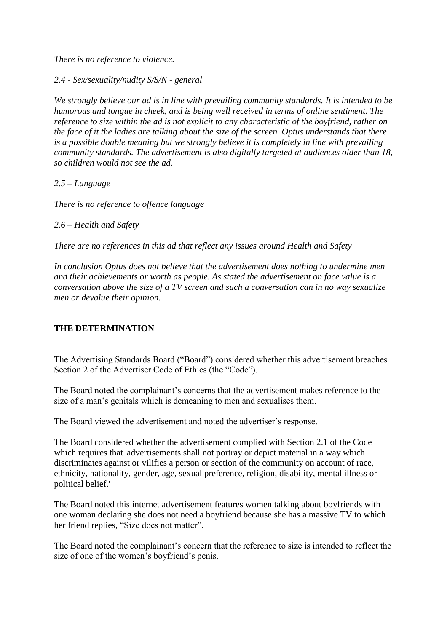*There is no reference to violence.*

*2.4 - Sex/sexuality/nudity S/S/N - general*

*We strongly believe our ad is in line with prevailing community standards. It is intended to be humorous and tongue in cheek, and is being well received in terms of online sentiment. The reference to size within the ad is not explicit to any characteristic of the boyfriend, rather on the face of it the ladies are talking about the size of the screen. Optus understands that there is a possible double meaning but we strongly believe it is completely in line with prevailing community standards. The advertisement is also digitally targeted at audiences older than 18, so children would not see the ad.*

*2.5 – Language*

*There is no reference to offence language* 

## *2.6 – Health and Safety*

*There are no references in this ad that reflect any issues around Health and Safety*

*In conclusion Optus does not believe that the advertisement does nothing to undermine men and their achievements or worth as people. As stated the advertisement on face value is a conversation above the size of a TV screen and such a conversation can in no way sexualize men or devalue their opinion.*

## **THE DETERMINATION**

The Advertising Standards Board ("Board") considered whether this advertisement breaches Section 2 of the Advertiser Code of Ethics (the "Code").

The Board noted the complainant's concerns that the advertisement makes reference to the size of a man's genitals which is demeaning to men and sexualises them.

The Board viewed the advertisement and noted the advertiser's response.

The Board considered whether the advertisement complied with Section 2.1 of the Code which requires that 'advertisements shall not portray or depict material in a way which discriminates against or vilifies a person or section of the community on account of race, ethnicity, nationality, gender, age, sexual preference, religion, disability, mental illness or political belief.'

The Board noted this internet advertisement features women talking about boyfriends with one woman declaring she does not need a boyfriend because she has a massive TV to which her friend replies, "Size does not matter".

The Board noted the complainant's concern that the reference to size is intended to reflect the size of one of the women's boyfriend's penis.